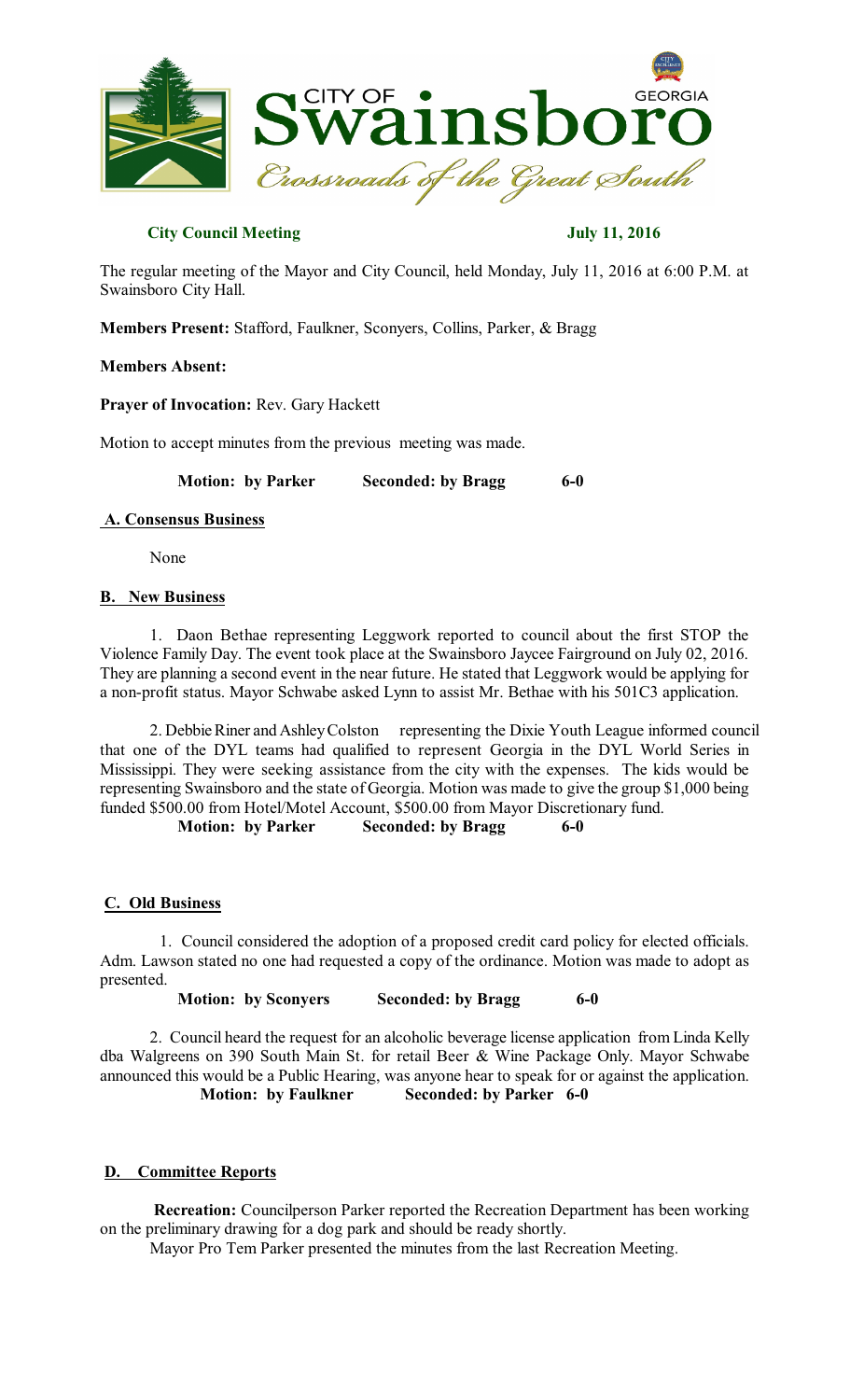

## **City Council Meeting July 11, 2016**

The regular meeting of the Mayor and City Council, held Monday, July 11, 2016 at 6:00 P.M. at Swainsboro City Hall.

**Members Present:** Stafford, Faulkner, Sconyers, Collins, Parker, & Bragg

### **Members Absent:**

**Prayer of Invocation:** Rev. Gary Hackett

Motion to accept minutes from the previous meeting was made.

**Motion: by Parker Seconded: by Bragg 6-0** 

#### **A. Consensus Business**

None

### **B. New Business**

1. Daon Bethae representing Leggwork reported to council about the first STOP the Violence Family Day. The event took place at the Swainsboro Jaycee Fairground on July 02, 2016. They are planning a second event in the near future. He stated that Leggwork would be applying for a non-profit status. Mayor Schwabe asked Lynn to assist Mr. Bethae with his 501C3 application.

2. Debbie Riner and AshleyColston representing the Dixie Youth League informed council that one of the DYL teams had qualified to represent Georgia in the DYL World Series in Mississippi. They were seeking assistance from the city with the expenses. The kids would be representing Swainsboro and the state of Georgia. Motion was made to give the group \$1,000 being funded \$500.00 from Hotel/Motel Account, \$500.00 from Mayor Discretionary fund.

**Motion: by Parker Seconded: by Bragg 6-0** 

# **C. Old Business**

1. Council considered the adoption of a proposed credit card policy for elected officials. Adm. Lawson stated no one had requested a copy of the ordinance. Motion was made to adopt as presented.

**Motion: by Sconyers Seconded: by Bragg 6-0** 

2. Council heard the request for an alcoholic beverage license application from Linda Kelly dba Walgreens on 390 South Main St. for retail Beer & Wine Package Only. Mayor Schwabe announced this would be a Public Hearing, was anyone hear to speak for or against the application. **Motion: by Faulkner Seconded: by Parker 6-0** 

# **D. Committee Reports**

**Recreation:** Councilperson Parker reported the Recreation Department has been working on the preliminary drawing for a dog park and should be ready shortly.

Mayor Pro Tem Parker presented the minutes from the last Recreation Meeting.